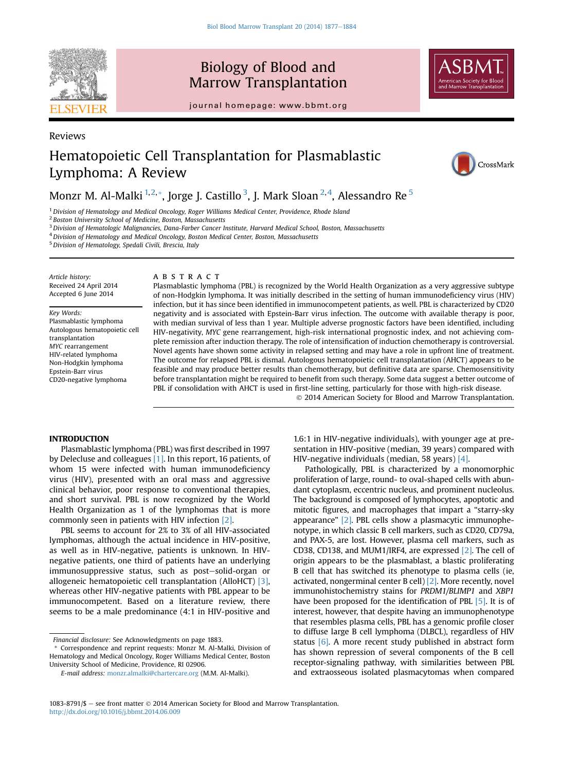

# Biology of Blood and Marrow Transplantation





## Reviews

# Hematopoietic Cell Transplantation for Plasmablastic Lymphoma: A Review



## Monzr M. Al-Malki  $^{1,2,*}$ , Jorge J. Castillo  $^3$ , J. Mark Sloan  $^{2,4}$ , Alessandro Re  $^5$

 $^1$  Division of Hematology and Medical Oncology, Roger Williams Medical Center, Providence, Rhode Island

<sup>2</sup> Boston University School of Medicine, Boston, Massachusetts

<sup>3</sup> Division of Hematologic Malignancies, Dana-Farber Cancer Institute, Harvard Medical School, Boston, Massachusetts

<sup>4</sup> Division of Hematology and Medical Oncology, Boston Medical Center, Boston, Massachusetts

<sup>5</sup>Division of Hematology, Spedali Civili, Brescia, Italy

Article history: Received 24 April 2014 Accepted 6 June 2014

Key Words:

Plasmablastic lymphoma Autologous hematopoietic cell transplantation MYC rearrangement HIV-related lymphoma Non-Hodgkin lymphoma Epstein-Barr virus CD20-negative lymphoma

## ABSTRACT

Plasmablastic lymphoma (PBL) is recognized by the World Health Organization as a very aggressive subtype of non-Hodgkin lymphoma. It was initially described in the setting of human immunodeficiency virus (HIV) infection, but it has since been identified in immunocompetent patients, as well. PBL is characterized by CD20 negativity and is associated with Epstein-Barr virus infection. The outcome with available therapy is poor, with median survival of less than 1 year. Multiple adverse prognostic factors have been identified, including HIV-negativity, MYC gene rearrangement, high-risk international prognostic index, and not achieving complete remission after induction therapy. The role of intensification of induction chemotherapy is controversial. Novel agents have shown some activity in relapsed setting and may have a role in upfront line of treatment. The outcome for relapsed PBL is dismal. Autologous hematopoietic cell transplantation (AHCT) appears to be feasible and may produce better results than chemotherapy, but definitive data are sparse. Chemosensitivity before transplantation might be required to benefit from such therapy. Some data suggest a better outcome of PBL if consolidation with AHCT is used in first-line setting, particularly for those with high-risk disease. 2014 American Society for Blood and Marrow Transplantation.

Plasmablastic lymphoma (PBL) was first described in 1997 by Delecluse and colleagues [\[1\]](#page-6-0). In this report, 16 patients, of whom 15 were infected with human immunodeficiency virus (HIV), presented with an oral mass and aggressive clinical behavior, poor response to conventional therapies, and short survival. PBL is now recognized by the World Health Organization as 1 of the lymphomas that is more commonly seen in patients with HIV infection [\[2\].](#page-6-0)

PBL seems to account for 2% to 3% of all HIV-associated lymphomas, although the actual incidence in HIV-positive, as well as in HIV-negative, patients is unknown. In HIVnegative patients, one third of patients have an underlying immunosuppressive status, such as post-solid-organ or allogeneic hematopoietic cell transplantation (AlloHCT) [\[3\]](#page-6-0), whereas other HIV-negative patients with PBL appear to be immunocompetent. Based on a literature review, there seems to be a male predominance (4:1 in HIV-positive and

1.6:1 in HIV-negative individuals), with younger age at presentation in HIV-positive (median, 39 years) compared with HIV-negative individuals (median, 58 years) [\[4\].](#page-6-0)

Pathologically, PBL is characterized by a monomorphic proliferation of large, round- to oval-shaped cells with abundant cytoplasm, eccentric nucleus, and prominent nucleolus. The background is composed of lymphocytes, apoptotic and mitotic figures, and macrophages that impart a "starry-sky appearance" [\[2\].](#page-6-0) PBL cells show a plasmacytic immunophenotype, in which classic B cell markers, such as CD20, CD79a, and PAX-5, are lost. However, plasma cell markers, such as CD38, CD138, and MUM1/IRF4, are expressed [\[2\].](#page-6-0) The cell of origin appears to be the plasmablast, a blastic proliferating B cell that has switched its phenotype to plasma cells (ie, activated, nongerminal center B cell) [\[2\]](#page-6-0). More recently, novel immunohistochemistry stains for PRDM1/BLIMP1 and XBP1 have been proposed for the identification of PBL [\[5\].](#page-6-0) It is of interest, however, that despite having an immunophenotype that resembles plasma cells, PBL has a genomic profile closer to diffuse large B cell lymphoma (DLBCL), regardless of HIV status  $[6]$ . A more recent study published in abstract form has shown repression of several components of the B cell receptor-signaling pathway, with similarities between PBL and extraosseous isolated plasmacytomas when compared

Financial disclosure: See Acknowledgments on page 1883.

Correspondence and reprint requests: Monzr M. Al-Malki, Division of Hematology and Medical Oncology, Roger Williams Medical Center, Boston University School of Medicine, Providence, RI 02906.

E-mail address: [monzr.almalki@chartercare.org](mailto:monzr.almalki@chartercare.org) (M.M. Al-Malki).

 $1083-8791/\$ \$ - see front matter  $\odot$  2014 American Society for Blood and Marrow Transplantation. <http://dx.doi.org/10.1016/j.bbmt.2014.06.009>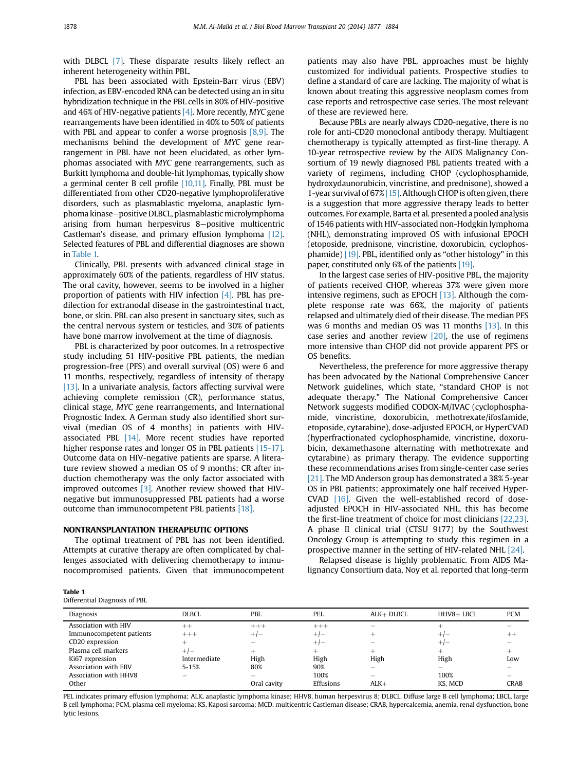with DLBCL [\[7\]](#page-6-0). These disparate results likely reflect an inherent heterogeneity within PBL.

PBL has been associated with Epstein-Barr virus (EBV) infection, as EBV-encoded RNA can be detected using an in situ hybridization technique in the PBL cells in 80% of HIV-positive and 46% of HIV-negative patients  $[4]$ . More recently, MYC gene rearrangements have been identified in 40% to 50% of patients with PBL and appear to confer a worse prognosis  $[8,9]$ . The mechanisms behind the development of MYC gene rearrangement in PBL have not been elucidated, as other lymphomas associated with MYC gene rearrangements, such as Burkitt lymphoma and double-hit lymphomas, typically show a germinal center B cell profile [\[10,11\].](#page-6-0) Finally, PBL must be differentiated from other CD20-negative lymphoproliferative disorders, such as plasmablastic myeloma, anaplastic lymphoma kinase-positive DLBCL, plasmablastic microlymphoma arising from human herpesvirus 8-positive multicentric Castleman's disease, and primary effusion lymphoma [\[12\]](#page-6-0). Selected features of PBL and differential diagnoses are shown in Table 1.

Clinically, PBL presents with advanced clinical stage in approximately 60% of the patients, regardless of HIV status. The oral cavity, however, seems to be involved in a higher proportion of patients with HIV infection [\[4\]](#page-6-0). PBL has predilection for extranodal disease in the gastrointestinal tract, bone, or skin. PBL can also present in sanctuary sites, such as the central nervous system or testicles, and 30% of patients have bone marrow involvement at the time of diagnosis.

PBL is characterized by poor outcomes. In a retrospective study including 51 HIV-positive PBL patients, the median progression-free (PFS) and overall survival (OS) were 6 and 11 months, respectively, regardless of intensity of therapy [\[13\].](#page-6-0) In a univariate analysis, factors affecting survival were achieving complete remission (CR), performance status, clinical stage, MYC gene rearrangements, and International Prognostic Index. A German study also identified short survival (median OS of 4 months) in patients with HIVassociated PBL [\[14\].](#page-6-0) More recent studies have reported higher response rates and longer OS in PBL patients [\[15-17\]](#page-6-0). Outcome data on HIV-negative patients are sparse. A literature review showed a median OS of 9 months; CR after induction chemotherapy was the only factor associated with improved outcomes [\[3\]](#page-6-0). Another review showed that HIVnegative but immunosuppressed PBL patients had a worse outcome than immunocompetent PBL patients [\[18\]](#page-6-0).

The optimal treatment of PBL has not been identified. Attempts at curative therapy are often complicated by challenges associated with delivering chemotherapy to immunocompromised patients. Given that immunocompetent patients may also have PBL, approaches must be highly customized for individual patients. Prospective studies to define a standard of care are lacking. The majority of what is known about treating this aggressive neoplasm comes from case reports and retrospective case series. The most relevant of these are reviewed here.

Because PBLs are nearly always CD20-negative, there is no role for anti-CD20 monoclonal antibody therapy. Multiagent chemotherapy is typically attempted as first-line therapy. A 10-year retrospective review by the AIDS Malignancy Consortium of 19 newly diagnosed PBL patients treated with a variety of regimens, including CHOP (cyclophosphamide, hydroxydaunorubicin, vincristine, and prednisone), showed a 1-year survival of 67% [\[15\].](#page-6-0) Although CHOP is often given, there is a suggestion that more aggressive therapy leads to better outcomes. For example, Barta et al. presented a pooled analysis of 1546 patients with HIV-associated non-Hodgkin lymphoma (NHL), demonstrating improved OS with infusional EPOCH (etoposide, prednisone, vincristine, doxorubicin, cyclophosphamide) [\[19\]](#page-6-0). PBL, identified only as "other histology" in this paper, constituted only 6% of the patients [\[19\].](#page-6-0)

In the largest case series of HIV-positive PBL, the majority of patients received CHOP, whereas 37% were given more intensive regimens, such as EPOCH [\[13\].](#page-6-0) Although the complete response rate was 66%, the majority of patients relapsed and ultimately died of their disease. The median PFS was 6 months and median OS was 11 months [\[13\]](#page-6-0). In this case series and another review  $[20]$ , the use of regimens more intensive than CHOP did not provide apparent PFS or OS benefits.

Nevertheless, the preference for more aggressive therapy has been advocated by the National Comprehensive Cancer Network guidelines, which state, "standard CHOP is not adequate therapy." The National Comprehensive Cancer Network suggests modified CODOX-M/IVAC (cyclophosphamide, vincristine, doxorubicin, methotrexate/ifosfamide, etoposide, cytarabine), dose-adjusted EPOCH, or HyperCVAD (hyperfractionated cyclophosphamide, vincristine, doxorubicin, dexamethasone alternating with methotrexate and cytarabine) as primary therapy. The evidence supporting these recommendations arises from single-center case series [\[21\]](#page-6-0). The MD Anderson group has demonstrated a 38% 5-year OS in PBL patients; approximately one half received Hyper-CVAD [\[16\]](#page-6-0). Given the well-established record of doseadjusted EPOCH in HIV-associated NHL, this has become the first-line treatment of choice for most clinicians [\[22,23\]](#page-6-0). A phase II clinical trial (CTSU 9177) by the Southwest Oncology Group is attempting to study this regimen in a prospective manner in the setting of HIV-related NHL [\[24\]](#page-6-0).

Relapsed disease is highly problematic. From AIDS Malignancy Consortium data, Noy et al. reported that long-term

| Table 1        |  |
|----------------|--|
| Differential I |  |

 $-11$ 

------<br>Differential Diagnosis of PBL

| Diagnosis                | DLBCL                    | <b>PBL</b>                            | PEL       | $ALK+DLECL$ | HHV8+ LBCL | <b>PCM</b>               |
|--------------------------|--------------------------|---------------------------------------|-----------|-------------|------------|--------------------------|
| Association with HIV     | $^{++}$                  | $^{+++}$                              | $+++$     |             |            |                          |
| Immunocompetent patients | $+++$                    | $+/-$                                 | $+/-$     |             | $+/-$      | $^{++}$                  |
| CD20 expression          |                          | $\hspace{1.0cm} \rule{1.5cm}{0.15cm}$ | $+/-$     | -           | $+1-$      |                          |
| Plasma cell markers      | $+/-$                    | $^{+}$                                | $^+$      |             | ÷          | ∸                        |
| Ki67 expression          | Intermediate             | High                                  | High      | High        | High       | Low                      |
| Association with EBV     | $5 - 15%$                | 80%                                   | 90%       |             |            |                          |
| Association with HHV8    | $\overline{\phantom{0}}$ | $\overline{\phantom{m}}$              | 100%      | -           | 100%       | $\overline{\phantom{a}}$ |
| Other                    |                          | Oral cavity                           | Effusions | $ALK+$      | KS. MCD    | <b>CRAB</b>              |

PEL indicates primary effusion lymphoma; ALK, anaplastic lymphoma kinase; HHV8, human herpesvirus 8; DLBCL, Diffuse large B cell lymphoma; LBCL, large B cell lymphoma; PCM, plasma cell myeloma; KS, Kaposi sarcoma; MCD, multicentric Castleman disease; CRAB, hypercalcemia, anemia, renal dysfunction, bone lytic lesions.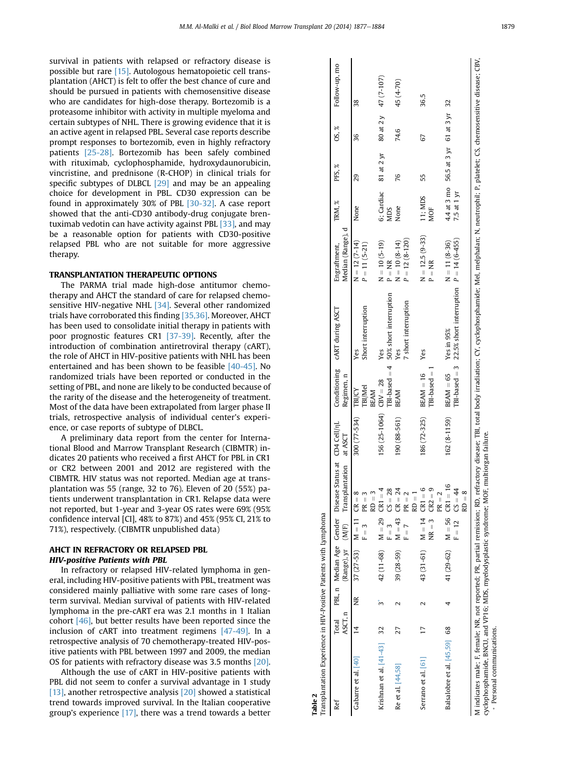<span id="page-2-0"></span>survival in patients with relapsed or refractory disease is possible but rare [\[15\].](#page-6-0) Autologous hematopoietic cell transplantation (AHCT) is felt to offer the best chance of cure and should be pursued in patients with chemosensitive disease who are candidates for high-dose therapy. Bortezomib is a proteasome inhibitor with activity in multiple myeloma and certain subtypes of NHL. There is growing evidence that it is an active agent in relapsed PBL. Several case reports describe prompt responses to bortezomib, even in highly refractory patients [\[25-28\].](#page-6-0) Bortezomib has been safely combined with rituximab, cyclophosphamide, hydroxydaunorubicin, vincristine, and prednisone (R-CHOP) in clinical trials for specific subtypes of DLBCL [\[29\]](#page-6-0) and may be an appealing choice for development in PBL. CD30 expression can be found in approximately 30% of PBL [\[30-32\]](#page-6-0). A case report showed that the anti-CD30 antibody-drug conjugate brentuximab vedotin can have activity against PBL [\[33\]](#page-6-0), and may be a reasonable option for patients with CD30-positive relapsed PBL who are not suitable for more aggressive therapy.

TRANSPLANTATION THERAPE EVENTS OF THEFTHERAPE THERAPE THE PARMA trial made high-dose antitumor chemotherapy and AHCT the standard of care for relapsed chemo-sensitive HIV-negative NHL <a>[\[34\]](#page-6-0)</a>. Several other randomized trials have corroborated this finding [\[35,36\]](#page-6-0). Moreover, AHCT has been used to consolidate initial therapy in patients with poor prognostic features CR1 [\[37-39\]](#page-6-0). Recently, after the introduction of combination antiretroviral therapy (cART), the role of AHCT in HIV-positive patients with NHL has been entertained and has been shown to be feasible [\[40-45\]](#page-6-0). No randomized trials have been reported or conducted in the setting of PBL, and none are likely to be conducted because of the rarity of the disease and the heterogeneity of treatment. Most of the data have been extrapolated from larger phase II trials, retrospective analysis of individual center's experience, or case reports of subtype of DLBCL.

A preliminary data report from the center for International Blood and Marrow Transplant Research (CIBMTR) indicates 20 patients who received a first AHCT for PBL in CR1 or CR2 between 2001 and 2012 are registered with the CIBMTR. HIV status was not reported. Median age at transplantation was 55 (range, 32 to 76). Eleven of 20 (55%) patients underwent transplantation in CR1. Relapse data were not reported, but 1-year and 3-year OS rates were 69% (95% confidence interval [CI], 48% to 87%) and 45% (95% CI, 21% to 71%), respectively. (CIBMTR unpublished data)

# AHCT IN REFRACTORY OR RELAPSED PBL<br>HIV-positive Patients with PBL

In refractory or relapsed HIV-related lymphoma in general, including HIV-positive patients with PBL, treatment was considered mainly palliative with some rare cases of longterm survival. Median survival of patients with HIV-related lymphoma in the pre-cART era was 2.1 months in 1 Italian cohort [\[46\]](#page-7-0), but better results have been reported since the inclusion of cART into treatment regimens [\[47-49\]](#page-7-0). In a retrospective analysis of 70 chemotherapy-treated HIV-positive patients with PBL between 1997 and 2009, the median OS for patients with refractory disease was 3.5 months [\[20\]](#page-6-0).

Although the use of cART in HIV-positive patients with PBL did not seem to confer a survival advantage in 1 study [\[13\],](#page-6-0) another retrospective analysis [\[20\]](#page-6-0) showed a statistical trend towards improved survival. In the Italian cooperative group's experience [\[17\],](#page-6-0) there was a trend towards a better

| Ref                          |                |   |                             |                    | Total PBL, n Median Age Gender Disease Status at CD4 Cell/nL |                         |                        | Conditioning CART during ASCT                                                                                                                                                                                                 | Engraftment,        | TRM, %      | PFS, %                                      | OS, % | Follow-up, mo |
|------------------------------|----------------|---|-----------------------------|--------------------|--------------------------------------------------------------|-------------------------|------------------------|-------------------------------------------------------------------------------------------------------------------------------------------------------------------------------------------------------------------------------|---------------------|-------------|---------------------------------------------|-------|---------------|
|                              | ASCT, n        |   |                             |                    | (Range), yr (M/F) Transplantation at ASCT                    |                         | Regimen, n             |                                                                                                                                                                                                                               | Median (Range), d   |             |                                             |       |               |
| Gabarre et al. [40]          | $\overline{1}$ | ž | $37 (27-53)$ M = 11 CR = 8  |                    |                                                              | 300 (77-534) TBI/CY     |                        | Yes                                                                                                                                                                                                                           | $N = 12(7 - 14)$    | None        | 29                                          | 36    | 38            |
|                              |                |   |                             | $F = 3$            | $PR = 3$                                                     |                         | milMel                 | Short interruption                                                                                                                                                                                                            | $P = 11(5-21)$      |             |                                             |       |               |
|                              |                |   |                             |                    | $RD = 3$                                                     |                         | BEAM                   |                                                                                                                                                                                                                               |                     |             |                                             |       |               |
| Krishnan et al. $[41-43]$ 32 |                |   | 42 (11-68) $M = 29$ CR1 =   |                    |                                                              | $156(25-1064)$ CBV = 28 |                        | Yes                                                                                                                                                                                                                           | $N = 10 (5 - 19)$   |             | 6; Cardiac 81 at 2 yr 80 at 2 y $47(7-107)$ |       |               |
|                              |                |   |                             | $F = 3$            | $CS = 28$                                                    |                         |                        | $IBI-based = 4$ 50% short interruption                                                                                                                                                                                        | $P = NR$            | NDS         |                                             |       |               |
| Re et al. [44,58]            | 27             |   | 39 $(28-59)$ M = 43 CR = 24 |                    |                                                              | 190 (88-561)            | <b>BEAM</b>            | Yes                                                                                                                                                                                                                           | $N = 10(8-14)$      | None        | 76                                          | 74.6  | 45 (4-70)     |
|                              |                |   |                             | $F = 7$ PR = 2     |                                                              |                         |                        | 7 short interruption                                                                                                                                                                                                          | $P = 12 (8 - 120)$  |             |                                             |       |               |
|                              |                |   |                             |                    | $RD =$                                                       |                         |                        |                                                                                                                                                                                                                               |                     |             |                                             |       |               |
| Serrano et al. [61]          | F              |   | 43 (31-61) $M = 14$ CR1 =   |                    | 6                                                            | $186(72-325)$ BEAM = 16 |                        | Yes                                                                                                                                                                                                                           | $N = 12.5 (9 - 33)$ | 11; MDS     | 55                                          | 67    | 36.5          |
|                              |                |   |                             |                    | $NR = 3$ $CR2 = 9$                                           |                         | $IBI-based = 1$        |                                                                                                                                                                                                                               | $P = NR$            | MOF         |                                             |       |               |
|                              |                |   |                             |                    | $PR = 2$                                                     |                         |                        |                                                                                                                                                                                                                               |                     |             |                                             |       |               |
| Balsalobre et al. [45,59] 68 |                |   | 41 (29-62) $M = 56$ CR1 =   |                    | $\frac{6}{5}$                                                | 162 (8-1159)            | BEAM = $65$ Yes in 95% |                                                                                                                                                                                                                               | $N = 11 (8-36)$     |             | 4.4 at 3 mo 56.5 at 3 yr 61 at 3 yr 32      |       |               |
|                              |                |   |                             | $F = 12$ $CS = 44$ |                                                              |                         |                        | TBI-based = 3 22.5% short interruption $P = 14 (6-455)$                                                                                                                                                                       |                     | 7.5 at 1 yr |                                             |       |               |
|                              |                |   |                             |                    | $RD = 8$                                                     |                         |                        |                                                                                                                                                                                                                               |                     |             |                                             |       |               |
|                              |                |   |                             |                    |                                                              |                         |                        | M indicates male; F, female; NR, not reported; PR, partial remission; RD, refractory disease; TBI, total body irradiation; CY, cyclophosphamide; MeI, melphalan; N, neutrophil; P, platelet; CS, chemosensitive disease; CBV, |                     |             |                                             |       |               |

Table 2

Transplantation Experience in HIV-Positive Patients with Lymphoma

Transplantation Experience in HIV-Positive Patients with Lymphoma

cyclophosphamide, BNCU, and VP16; MDS, myelodysplastic syndrome; MOF, multiorgan failure. cyclophosphamide, BNCU, and VP16; MDS, myelodysplastic syndrome; MOF, multiorgan failure Personal communications. Personal communications IΣ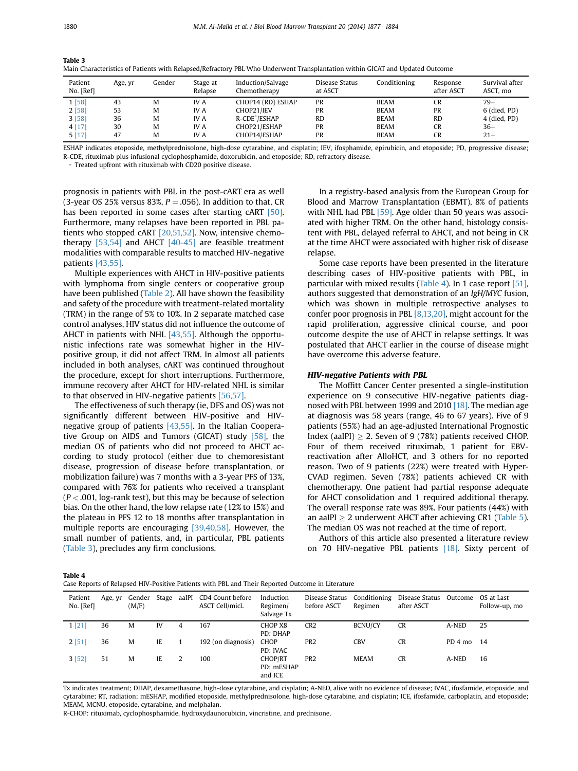| Patient<br>No. [Ref] | Age, yr | Gender | Stage at<br>Relapse | Induction/Salvage<br>Chemotherapy | Disease Status<br>at ASCT | Conditioning | Response<br>after ASCT | Survival after<br>ASCT, mo |
|----------------------|---------|--------|---------------------|-----------------------------------|---------------------------|--------------|------------------------|----------------------------|
| 1 [58]               | 43      | M      | IV A                | CHOP14 (RD) ESHAP                 | PR                        | <b>BEAM</b>  | CR                     | $79+$                      |
| 2[58]                | 53      | M      | IV A                | CHOP21/IEV                        | PR                        | <b>BEAM</b>  | PR                     | 6 (died, PD)               |
| 3[58]                | 36      | M      | IV A                | R-CDE <sup>*</sup> /ESHAP         | <b>RD</b>                 | <b>BEAM</b>  | <b>RD</b>              | 4 (died, PD)               |
| 4 [17]               | 30      | M      | IV A                | CHOP21/ESHAP                      | PR                        | <b>BEAM</b>  | CR                     | $36+$                      |
| 5[17]                | 47      | M      | <b>IVA</b>          | CHOP14/ESHAP                      | PR                        | <b>BEAM</b>  | CR                     | $21+$                      |

Table 3 Main Characteristics of Patients with Relapsed/Refractory PBL Who Underwent Transplantation within GICAT and Updated Outcome

ESHAP indicates etoposide, methylprednisolone, high-dose cytarabine, and cisplatin; IEV, ifosphamide, epirubicin, and etoposide; PD, progressive disease; R-CDE, rituximab plus infusional cyclophosphamide, doxorubicin, and etoposide; RD, refractory disease.

\* Treated upfront with rituximab with CD20 positive disease.

prognosis in patients with PBL in the post-cART era as well (3-year OS 25% versus 83%,  $P = .056$ ). In addition to that, CR has been reported in some cases after starting cART [\[50\]](#page-7-0). Furthermore, many relapses have been reported in PBL patients who stopped cART [\[20,51,52\].](#page-6-0) Now, intensive chemotherapy  $[53,54]$  and AHCT  $[40-45]$  are feasible treatment modalities with comparable results to matched HIV-negative patients [\[43,55\].](#page-7-0)

Multiple experiences with AHCT in HIV-positive patients with lymphoma from single centers or cooperative group have been published ([Table 2](#page-2-0)). All have shown the feasibility and safety of the procedure with treatment-related mortality (TRM) in the range of 5% to 10%. In 2 separate matched case control analyses, HIV status did not influence the outcome of AHCT in patients with NHL [\[43,55\].](#page-7-0) Although the opportunistic infections rate was somewhat higher in the HIVpositive group, it did not affect TRM. In almost all patients included in both analyses, cART was continued throughout the procedure, except for short interruptions. Furthermore, immune recovery after AHCT for HIV-related NHL is similar to that observed in HIV-negative patients [\[56,57\].](#page-7-0)

The effectiveness of such therapy (ie, DFS and OS) was not significantly different between HIV-positive and HIVnegative group of patients [\[43,55\]](#page-7-0). In the Italian Cooperative Group on AIDS and Tumors (GICAT) study  $[58]$ , the median OS of patients who did not proceed to AHCT according to study protocol (either due to chemoresistant disease, progression of disease before transplantation, or mobilization failure) was 7 months with a 3-year PFS of 13%, compared with 76% for patients who received a transplant  $(P < .001, \log{\cdot}$  rank test), but this may be because of selection bias. On the other hand, the low relapse rate (12% to 15%) and the plateau in PFS 12 to 18 months after transplantation in multiple reports are encouraging [\[39,40,58\]](#page-6-0). However, the small number of patients, and, in particular, PBL patients (Table 3), precludes any firm conclusions.

In a registry-based analysis from the European Group for Blood and Marrow Transplantation (EBMT), 8% of patients with NHL had PBL [\[59\].](#page-7-0) Age older than 50 years was associated with higher TRM. On the other hand, histology consistent with PBL, delayed referral to AHCT, and not being in CR at the time AHCT were associated with higher risk of disease relapse.

Some case reports have been presented in the literature describing cases of HIV-positive patients with PBL, in particular with mixed results (Table 4). In 1 case report [\[51\]](#page-7-0), authors suggested that demonstration of an IgH/MYC fusion, which was shown in multiple retrospective analyses to confer poor prognosis in PBL [\[8,13,20\],](#page-6-0) might account for the rapid proliferation, aggressive clinical course, and poor outcome despite the use of AHCT in relapse settings. It was postulated that AHCT earlier in the course of disease might have overcome this adverse feature.

The Moffitt Cancer Center presented a single-institution experience on 9 consecutive HIV-negative patients diag-nosed with PBL between 1999 and 2010 [\[18\].](#page-6-0) The median age at diagnosis was 58 years (range, 46 to 67 years). Five of 9 patients (55%) had an age-adjusted International Prognostic Index (aaIPI)  $\geq$  2. Seven of 9 (78%) patients received CHOP. Four of them received rituximab, 1 patient for EBVreactivation after AlloHCT, and 3 others for no reported reason. Two of 9 patients (22%) were treated with Hyper-CVAD regimen. Seven (78%) patients achieved CR with chemotherapy. One patient had partial response adequate for AHCT consolidation and 1 required additional therapy. The overall response rate was 89%. Four patients (44%) with an aaIPI  $\geq$  2 underwent AHCT after achieving CR1 [\(Table 5](#page-4-0)). The median OS was not reached at the time of report.

Authors of this article also presented a literature review on 70 HIV-negative PBL patients [\[18\]](#page-6-0). Sixty percent of

|  | Case Reports of Relapsed HIV-Positive Patients with PBL and Their Reported Outcome in Literature |  |  |  |
|--|--------------------------------------------------------------------------------------------------|--|--|--|

| Patient<br>No. [Ref] | Age, yr | Gender<br>(M/F) | Stage aaIPI |   | CD4 Count before<br>ASCT Cell/micL | Induction<br>Regimen/<br>Salvage Tx     | Disease Status<br>before ASCT | Conditioning<br>Regimen | Disease Status Outcome<br>after ASCT |         | OS at Last<br>Follow-up, mo |
|----------------------|---------|-----------------|-------------|---|------------------------------------|-----------------------------------------|-------------------------------|-------------------------|--------------------------------------|---------|-----------------------------|
| 1 [21]               | 36      | M               | IV          | 4 | 167                                | CHOP X8<br>PD: DHAP                     | CR <sub>2</sub>               | <b>BCNU/CY</b>          | <b>CR</b>                            | A-NED   | 25                          |
| 2[51]                | 36      | M               | IE          |   | 192 (on diagnosis)                 | CHOP<br>PD: IVAC                        | PR <sub>2</sub>               | <b>CBV</b>              | <b>CR</b>                            | PD 4 mo | -14                         |
| 3 [52]               | 51      | M               | IE          | 2 | 100                                | <b>CHOP/RT</b><br>PD: mESHAP<br>and ICE | PR <sub>2</sub>               | <b>MEAM</b>             | <b>CR</b>                            | A-NED   | 16                          |

Tx indicates treatment; DHAP, dexamethasone, high-dose cytarabine, and cisplatin; A-NED, alive with no evidence of disease; IVAC, ifosfamide, etoposide, and cytarabine; RT, radiation; mESHAP, modified etoposide, methylprednisolone, high-dose cytarabine, and cisplatin; ICE, ifosfamide, carboplatin, and etoposide; MEAM, MCNU, etoposide, cytarabine, and melphalan.

R-CHOP: rituximab, cyclophosphamide, hydroxydaunorubicin, vincristine, and prednisone.

Table 3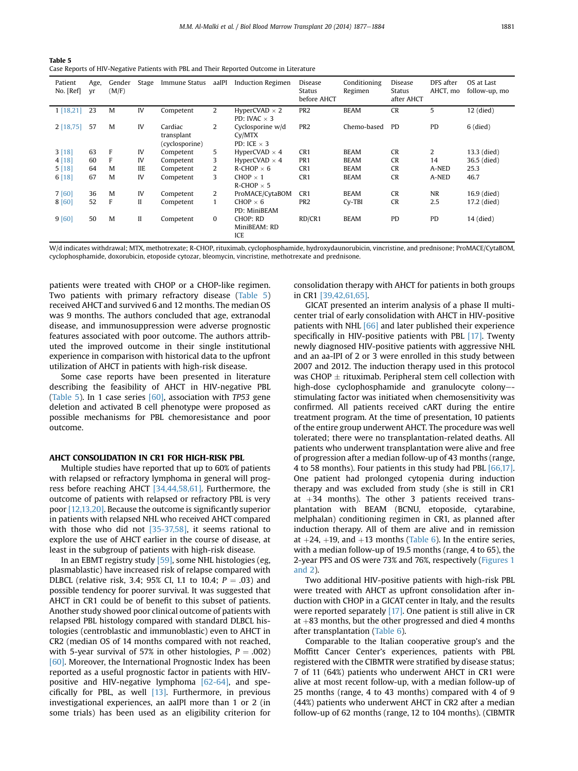<span id="page-4-0"></span>Table 5 ------ -<br>Case Reports of HIV-Negative Patients with PBL and Their Reported Outcome in Literature

| Patient<br>No. [Ref] | Age,<br>Vľ | Gender<br>(M/F) | Stage      | Immune Status                           | aaIPI | <b>Induction Regimen</b>                                      | Disease<br>Status<br>before AHCT | Conditioning<br>Regimen | Disease<br>Status<br>after AHCT | DFS after<br>AHCT, mo | OS at Last<br>follow-up, mo |
|----------------------|------------|-----------------|------------|-----------------------------------------|-------|---------------------------------------------------------------|----------------------------------|-------------------------|---------------------------------|-----------------------|-----------------------------|
| 1[18,21]             | 23         | M               | IV         | Competent                               | 2     | HyperCVAD $\times$ 2<br>PD: IVAC $\times$ 3                   | PR <sub>2</sub>                  | <b>BEAM</b>             | <b>CR</b>                       | 5                     | 12 (died)                   |
| 2[18,75]             | 57         | M               | IV         | Cardiac<br>transplant<br>(cyclosporine) | 2     | Cyclosporine w/d<br>C <sub>V</sub> /MTX<br>PD: ICE $\times$ 3 | PR <sub>2</sub>                  | Chemo-based             | <b>PD</b>                       | PD                    | $6$ (died)                  |
| 3[18]                | 63         | F               | IV         | Competent                               | 5     | HyperCVAD $\times$ 4                                          | CR <sub>1</sub>                  | <b>BEAM</b>             | <b>CR</b>                       | 2                     | 13.3 (died)                 |
| 4[18]                | 60         | F               | IV         | Competent                               | 3     | HyperCVAD $\times$ 4                                          | PR <sub>1</sub>                  | <b>BEAM</b>             | <b>CR</b>                       | 14                    | 36.5 (died)                 |
| 5[18]                | 64         | M               | <b>IIE</b> | Competent                               | 2     | $R$ -CHOP $\times$ 6                                          | CR <sub>1</sub>                  | <b>BEAM</b>             | <b>CR</b>                       | A-NED                 | 25.3                        |
| 6[18]                | 67         | M               | IV         | Competent                               | 3     | CHOP $\times$ 1<br>$R$ -CHOP $\times$ 5                       | CR <sub>1</sub>                  | <b>BEAM</b>             | <b>CR</b>                       | A-NED                 | 46.7                        |
| 7 [60]               | 36         | M               | IV         | Competent                               | 2     | ProMACE/CytaBOM                                               | CR <sub>1</sub>                  | <b>BEAM</b>             | <b>CR</b>                       | <b>NR</b>             | 16.9 (died)                 |
| 8[60]                | 52         | F               | II         | Competent                               | 1     | CHOP $\times$ 6<br>PD: MiniBEAM                               | PR <sub>2</sub>                  | $Cv-TBI$                | <b>CR</b>                       | 2.5                   | 17.2 (died)                 |
| 9[60]                | 50         | M               | $\rm II$   | Competent                               | 0     | CHOP: RD<br>MiniBEAM: RD<br>ICE                               | RD/CR1                           | <b>BEAM</b>             | PD                              | PD                    | 14 (died)                   |

W/d indicates withdrawal; MTX, methotrexate; R-CHOP, rituximab, cyclophosphamide, hydroxydaunorubicin, vincristine, and prednisone; ProMACE/CytaBOM, cyclophosphamide, doxorubicin, etoposide cytozar, bleomycin, vincristine, methotrexate and prednisone.

patients were treated with CHOP or a CHOP-like regimen. Two patients with primary refractory disease (Table 5) received AHCT and survived 6 and 12 months. The median OS was 9 months. The authors concluded that age, extranodal disease, and immunosuppression were adverse prognostic features associated with poor outcome. The authors attributed the improved outcome in their single institutional experience in comparison with historical data to the upfront utilization of AHCT in patients with high-risk disease.

Some case reports have been presented in literature describing the feasibility of AHCT in HIV-negative PBL (Table 5). In 1 case series  $[60]$ , association with TP53 gene deletion and activated B cell phenotype were proposed as possible mechanisms for PBL chemoresistance and poor outcome.

## AHCT CONSOLIDATION IN CR1 FOR HIGH-RISK PBL

Multiple studies have reported that up to 60% of patients with relapsed or refractory lymphoma in general will progress before reaching AHCT [\[34,44,58,61\].](#page-6-0) Furthermore, the outcome of patients with relapsed or refractory PBL is very poor [\[12,13,20\].](#page-6-0) Because the outcome is significantly superior in patients with relapsed NHL who received AHCT compared with those who did not [\[35-37,58\],](#page-6-0) it seems rational to explore the use of AHCT earlier in the course of disease, at least in the subgroup of patients with high-risk disease.

In an EBMT registry study [\[59\],](#page-7-0) some NHL histologies (eg, plasmablastic) have increased risk of relapse compared with DLBCL (relative risk, 3.4; 95% CI, 1.1 to 10.4;  $P = .03$ ) and possible tendency for poorer survival. It was suggested that AHCT in CR1 could be of benefit to this subset of patients. Another study showed poor clinical outcome of patients with relapsed PBL histology compared with standard DLBCL histologies (centroblastic and immunoblastic) even to AHCT in CR2 (median OS of 14 months compared with not reached, with 5-year survival of 57% in other histologies,  $P = .002$ ) [\[60\]](#page-7-0). Moreover, the International Prognostic Index has been reported as a useful prognostic factor in patients with HIVpositive and HIV-negative lymphoma  $[62-64]$ , and specifically for PBL, as well  $[13]$ . Furthermore, in previous investigational experiences, an aaIPI more than 1 or 2 (in some trials) has been used as an eligibility criterion for consolidation therapy with AHCT for patients in both groups in CR1 [\[39,42,61,65\].](#page-6-0)

GICAT presented an interim analysis of a phase II multicenter trial of early consolidation with AHCT in HIV-positive patients with NHL [\[66\]](#page-7-0) and later published their experience specifically in HIV-positive patients with PBL [\[17\]](#page-6-0). Twenty newly diagnosed HIV-positive patients with aggressive NHL and an aa-IPI of 2 or 3 were enrolled in this study between 2007 and 2012. The induction therapy used in this protocol was CHOP  $\pm$  rituximab. Peripheral stem cell collection with high-dose cyclophosphamide and granulocyte colony-stimulating factor was initiated when chemosensitivity was confirmed. All patients received cART during the entire treatment program. At the time of presentation, 10 patients of the entire group underwent AHCT. The procedure was well tolerated; there were no transplantation-related deaths. All patients who underwent transplantation were alive and free of progression after a median follow-up of 43 months (range, 4 to 58 months). Four patients in this study had PBL [\[66,17\]](#page-7-0). One patient had prolonged cytopenia during induction therapy and was excluded from study (she is still in CR1 at  $+34$  months). The other 3 patients received transplantation with BEAM (BCNU, etoposide, cytarabine, melphalan) conditioning regimen in CR1, as planned after induction therapy. All of them are alive and in remission at  $+24$ ,  $+19$ , and  $+13$  months ([Table 6\)](#page-5-0). In the entire series, with a median follow-up of 19.5 months (range, 4 to 65), the 2-year PFS and OS were 73% and 76%, respectively ([Figures 1](#page-5-0) [and 2](#page-5-0)).

Two additional HIV-positive patients with high-risk PBL were treated with AHCT as upfront consolidation after induction with CHOP in a GICAT center in Italy, and the results were reported separately [\[17\].](#page-6-0) One patient is still alive in CR at  $+83$  months, but the other progressed and died 4 months after transplantation [\(Table 6\)](#page-5-0).

Comparable to the Italian cooperative group's and the Moffitt Cancer Center's experiences, patients with PBL registered with the CIBMTR were stratified by disease status; 7 of 11 (64%) patients who underwent AHCT in CR1 were alive at most recent follow-up, with a median follow-up of 25 months (range, 4 to 43 months) compared with 4 of 9 (44%) patients who underwent AHCT in CR2 after a median follow-up of 62 months (range, 12 to 104 months). (CIBMTR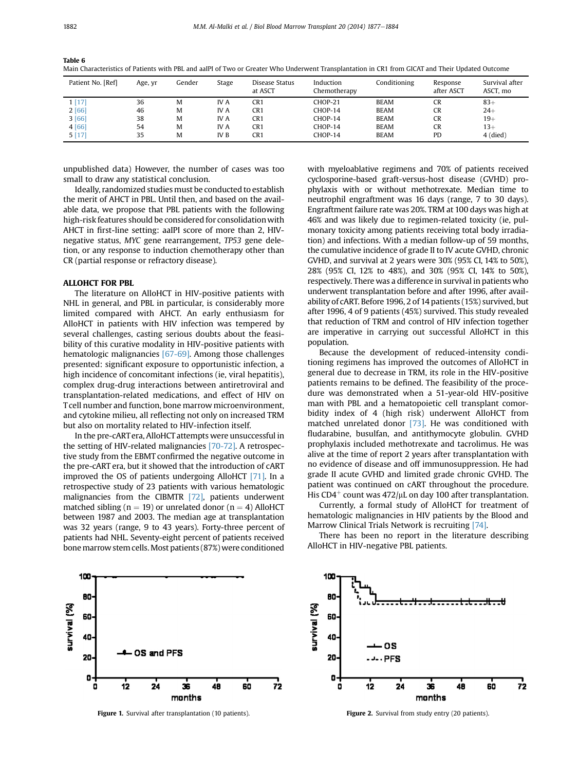| Patient No. [Ref] | Age, yr | Gender | Stage      | Disease Status<br>at ASCT | Induction<br>Chemotherapy | Conditioning | Response<br>after ASCT | Survival after<br>ASCT, mo |
|-------------------|---------|--------|------------|---------------------------|---------------------------|--------------|------------------------|----------------------------|
| 1[17]             | 36      | M      | <b>IVA</b> | CR1                       | CHOP-21                   | <b>BEAM</b>  | <b>CR</b>              | $83+$                      |
| 2[66]             | 46      | M      | <b>IVA</b> | CR1                       | CHOP-14                   | <b>BEAM</b>  | <b>CR</b>              | $24+$                      |
| 3[66]             | 38      | M      | IV A       | CR1                       | CHOP-14                   | <b>BEAM</b>  | <b>CR</b>              | $19+$                      |
| 4 [66]            | 54      | M      | IV A       | CR1                       | CHOP-14                   | <b>BEAM</b>  | <b>CR</b>              | $13+$                      |
| 5[17]             | 35      | M      | IV B       | CR1                       | CHOP-14                   | <b>BEAM</b>  | PD                     | $4$ (died)                 |

<span id="page-5-0"></span>Table 6 Table 6 Main Characteristics of Patients with PBL and aaIPI of Two or Greater Who Underwent Transplantation in CR1 from GICAT and Their Updated Outcome

unpublished data) However, the number of cases was too small to draw any statistical conclusion.

Ideally, randomized studies must be conducted to establish the merit of AHCT in PBL. Until then, and based on the available data, we propose that PBL patients with the following high-risk features should be considered for consolidation with AHCT in first-line setting: aaIPI score of more than 2, HIVnegative status, MYC gene rearrangement, TP53 gene deletion, or any response to induction chemotherapy other than CR (partial response or refractory disease).

The literature on AlloHCT in HIV-positive patients with NHL in general, and PBL in particular, is considerably more limited compared with AHCT. An early enthusiasm for AlloHCT in patients with HIV infection was tempered by several challenges, casting serious doubts about the feasibility of this curative modality in HIV-positive patients with hematologic malignancies [\[67-69\].](#page-7-0) Among those challenges presented: significant exposure to opportunistic infection, a high incidence of concomitant infections (ie, viral hepatitis), complex drug-drug interactions between antiretroviral and transplantation-related medications, and effect of HIV on T cell number and function, bone marrow microenvironment, and cytokine milieu, all reflecting not only on increased TRM but also on mortality related to HIV-infection itself.

In the pre-cART era, AlloHCT attempts were unsuccessful in the setting of HIV-related malignancies [\[70-72\].](#page-7-0) A retrospective study from the EBMT confirmed the negative outcome in the pre-cART era, but it showed that the introduction of cART improved the OS of patients undergoing AlloHCT [\[71\].](#page-7-0) In a retrospective study of 23 patients with various hematologic malignancies from the CIBMTR [\[72\],](#page-7-0) patients underwent matched sibling ( $n = 19$ ) or unrelated donor ( $n = 4$ ) AlloHCT between 1987 and 2003. The median age at transplantation was 32 years (range, 9 to 43 years). Forty-three percent of patients had NHL. Seventy-eight percent of patients received bone marrow stem cells. Most patients (87%) were conditioned



with myeloablative regimens and 70% of patients received cyclosporine-based graft-versus-host disease (GVHD) prophylaxis with or without methotrexate. Median time to neutrophil engraftment was 16 days (range, 7 to 30 days). Engraftment failure rate was 20%. TRM at 100 days was high at 46% and was likely due to regimen-related toxicity (ie, pulmonary toxicity among patients receiving total body irradiation) and infections. With a median follow-up of 59 months, the cumulative incidence of grade II to IV acute GVHD, chronic GVHD, and survival at 2 years were 30% (95% CI, 14% to 50%), 28% (95% CI, 12% to 48%), and 30% (95% CI, 14% to 50%), respectively. There was a difference in survival in patients who underwent transplantation before and after 1996, after availability of cART. Before 1996, 2 of 14 patients (15%) survived, but after 1996, 4 of 9 patients (45%) survived. This study revealed that reduction of TRM and control of HIV infection together are imperative in carrying out successful AlloHCT in this population.

Because the development of reduced-intensity conditioning regimens has improved the outcomes of AlloHCT in general due to decrease in TRM, its role in the HIV-positive patients remains to be defined. The feasibility of the procedure was demonstrated when a 51-year-old HIV-positive man with PBL and a hematopoietic cell transplant comorbidity index of 4 (high risk) underwent AlloHCT from matched unrelated donor [\[73\]](#page-7-0). He was conditioned with fludarabine, busulfan, and antithymocyte globulin. GVHD prophylaxis included methotrexate and tacrolimus. He was alive at the time of report 2 years after transplantation with no evidence of disease and off immunosuppression. He had grade II acute GVHD and limited grade chronic GVHD. The patient was continued on cART throughout the procedure. His CD4<sup>+</sup> count was 472/ $\mu$ L on day 100 after transplantation.

Currently, a formal study of AlloHCT for treatment of hematologic malignancies in HIV patients by the Blood and Marrow Clinical Trials Network is recruiting [\[74\].](#page-7-0)

There has been no report in the literature describing AlloHCT in HIV-negative PBL patients.



**Figure 1.** Survival after transplantation (10 patients). Figure 2. Survival from study entry (20 patients).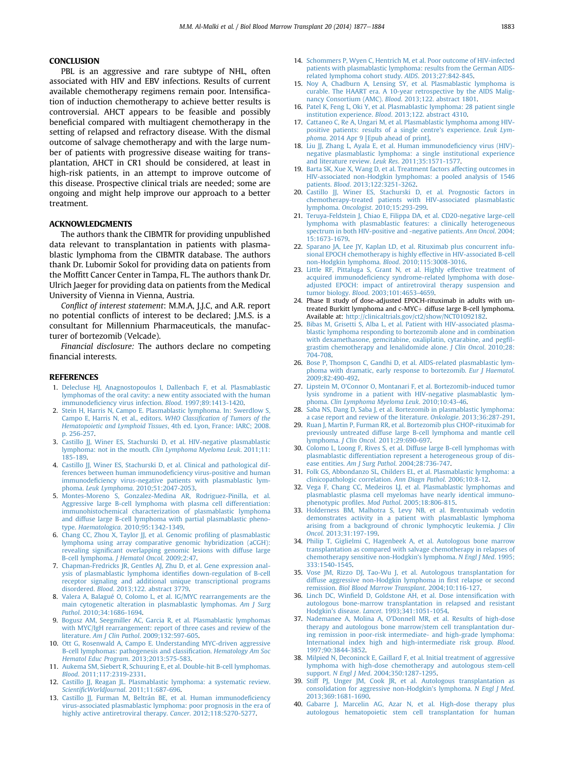<span id="page-6-0"></span>PBL is an aggressive and rare subtype of NHL, often associated with HIV and EBV infections. Results of current available chemotherapy regimens remain poor. Intensification of induction chemotherapy to achieve better results is controversial. AHCT appears to be feasible and possibly beneficial compared with multiagent chemotherapy in the setting of relapsed and refractory disease. With the dismal outcome of salvage chemotherapy and with the large number of patients with progressive disease waiting for transplantation, AHCT in CR1 should be considered, at least in high-risk patients, in an attempt to improve outcome of this disease. Prospective clinical trials are needed; some are ongoing and might help improve our approach to a better treatment.

The authors thank the CIBMTR for providing unpublished data relevant to transplantation in patients with plasmablastic lymphoma from the CIBMTR database. The authors thank Dr. Lubomir Sokol for providing data on patients from the Moffitt Cancer Center in Tampa, FL. The authors thank Dr. Ulrich Jaeger for providing data on patients from the Medical University of Vienna in Vienna, Austria.

Conflict of interest statement: M.M.A, J.J.C, and A.R. report no potential conflicts of interest to be declared; J.M.S. is a consultant for Millennium Pharmaceuticals, the manufacturer of bortezomib (Velcade).

Financial disclosure: The authors declare no competing financial interests.

## **REFERENCES**

- 1. [Delecluse HJ, Anagnostopoulos I, Dallenbach F, et al. Plasmablastic](http://refhub.elsevier.com/S1083-8791(14)00359-0/sref1) [lymphomas of the oral cavity: a new entity associated with the human](http://refhub.elsevier.com/S1083-8791(14)00359-0/sref1) immunodefi[ciency virus infection.](http://refhub.elsevier.com/S1083-8791(14)00359-0/sref1) Blood. 1997;89:1413-1420.
- 2. [Stein H, Harris N, Campo E. Plasmablastic lymphoma. In: Swerdlow S,](http://refhub.elsevier.com/S1083-8791(14)00359-0/sref2) [Campo E, Harris N, et al., editors.](http://refhub.elsevier.com/S1083-8791(14)00359-0/sref2) WHO Classification of Tumors of the [Hematopoietic and Lymphoid Tissues](http://refhub.elsevier.com/S1083-8791(14)00359-0/sref2), 4th ed. Lyon, France: IARC; 2008. [p. 256-257.](http://refhub.elsevier.com/S1083-8791(14)00359-0/sref2)
- 3. [Castillo JJ, Winer ES, Stachurski D, et al. HIV-negative plasmablastic](http://refhub.elsevier.com/S1083-8791(14)00359-0/sref3) [lymphoma: not in the mouth.](http://refhub.elsevier.com/S1083-8791(14)00359-0/sref3) Clin Lymphoma Myeloma Leuk. 2011;11: [185-189](http://refhub.elsevier.com/S1083-8791(14)00359-0/sref3).
- 4. [Castillo JJ, Winer ES, Stachurski D, et al. Clinical and pathological dif](http://refhub.elsevier.com/S1083-8791(14)00359-0/sref4)[ferences between human immunode](http://refhub.elsevier.com/S1083-8791(14)00359-0/sref4)ficiency virus-positive and human immunodefi[ciency virus-negative patients with plasmablastic lym](http://refhub.elsevier.com/S1083-8791(14)00359-0/sref4)phoma. Leuk Lymphoma[. 2010;51:2047-2053](http://refhub.elsevier.com/S1083-8791(14)00359-0/sref4).
- 5. [Montes-Moreno S, Gonzalez-Medina AR, Rodriguez-Pinilla, et al.](http://refhub.elsevier.com/S1083-8791(14)00359-0/sref5) [Aggressive large B-cell lymphoma with plasma cell differentiation:](http://refhub.elsevier.com/S1083-8791(14)00359-0/sref5) [immunohistochemical characterization of plasmablastic lymphoma](http://refhub.elsevier.com/S1083-8791(14)00359-0/sref5) [and diffuse large B-cell lymphoma with partial plasmablastic pheno](http://refhub.elsevier.com/S1083-8791(14)00359-0/sref5)type. Haematologica[. 2010;95:1342-1349](http://refhub.elsevier.com/S1083-8791(14)00359-0/sref5).
- 6. Chang CC, Zhou X, Taylor II, et al. Genomic profiling of plasmablastic [lymphoma using array comparative genomic hybridization \(aCGH\):](http://refhub.elsevier.com/S1083-8791(14)00359-0/sref6) revealing signifi[cant overlapping genomic lesions with diffuse large](http://refhub.elsevier.com/S1083-8791(14)00359-0/sref6) [B-cell lymphoma.](http://refhub.elsevier.com/S1083-8791(14)00359-0/sref6) J Hematol Oncol. 2009;2:47.
- 7. [Chapman-Fredricks JR, Gentles AJ, Zhu D, et al. Gene expression anal](http://refhub.elsevier.com/S1083-8791(14)00359-0/sref7)[ysis of plasmablastic lymphoma identi](http://refhub.elsevier.com/S1083-8791(14)00359-0/sref7)fies down-regulation of B-cell [receptor signaling and additional unique transcriptional programs](http://refhub.elsevier.com/S1083-8791(14)00359-0/sref7) disordered. Blood[. 2013;122. abstract 3779](http://refhub.elsevier.com/S1083-8791(14)00359-0/sref7).
- 8. [Valera A, Balagué O, Colomo L, et al. IG/MYC rearrangements are the](http://refhub.elsevier.com/S1083-8791(14)00359-0/sref8) [main cytogenetic alteration in plasmablastic lymphomas.](http://refhub.elsevier.com/S1083-8791(14)00359-0/sref8) Am J Surg Pathol[. 2010;34:1686-1694.](http://refhub.elsevier.com/S1083-8791(14)00359-0/sref8)
- 9. [Bogusz AM, Seegmiller AC, Garcia R, et al. Plasmablastic lymphomas](http://refhub.elsevier.com/S1083-8791(14)00359-0/sref9) [with MYC/IgH rearrangement: report of three cases and review of the](http://refhub.elsevier.com/S1083-8791(14)00359-0/sref9) literature. Am J Clin Pathol[. 2009;132:597-605.](http://refhub.elsevier.com/S1083-8791(14)00359-0/sref9)
- 10. [Ott G, Rosenwald A, Campo E. Understanding MYC-driven aggressive](http://refhub.elsevier.com/S1083-8791(14)00359-0/sref10) [B-cell lymphomas: pathogenesis and classi](http://refhub.elsevier.com/S1083-8791(14)00359-0/sref10)fication. Hematology Am Soc [Hematol Educ Program](http://refhub.elsevier.com/S1083-8791(14)00359-0/sref10). 2013;2013:575-583.
- 11. [Aukema SM, Siebert R, Schuuring E, et al. Double-hit B-cell lymphomas.](http://refhub.elsevier.com/S1083-8791(14)00359-0/sref11) Blood[. 2011;117:2319-2331](http://refhub.elsevier.com/S1083-8791(14)00359-0/sref11).
- 12. [Castillo JJ, Reagan JL. Plasmablastic lymphoma: a systematic review.](http://refhub.elsevier.com/S1083-8791(14)00359-0/sref12) ScientificWorldJournal[. 2011;11:687-696](http://refhub.elsevier.com/S1083-8791(14)00359-0/sref12).
- 13. [Castillo JJ, Furman M, Beltrán BE, et al. Human immunode](http://refhub.elsevier.com/S1083-8791(14)00359-0/sref13)ficiency [virus-associated plasmablastic lymphoma: poor prognosis in the era of](http://refhub.elsevier.com/S1083-8791(14)00359-0/sref13) [highly active antiretroviral therapy.](http://refhub.elsevier.com/S1083-8791(14)00359-0/sref13) Cancer. 2012;118:5270-5277.
- 14. [Schommers P, Wyen C, Hentrich M, et al. Poor outcome of HIV-infected](http://refhub.elsevier.com/S1083-8791(14)00359-0/sref14) [patients with plasmablastic lymphoma: results from the German AIDS](http://refhub.elsevier.com/S1083-8791(14)00359-0/sref14)[related lymphoma cohort study.](http://refhub.elsevier.com/S1083-8791(14)00359-0/sref14) AIDS. 2013;27:842-845.
- 15. [Noy A, Chadburn A, Lensing SY, et al. Plasmablastic lymphoma is](http://refhub.elsevier.com/S1083-8791(14)00359-0/sref15) [curable. The HAART era. A 10-year retrospective by the AIDS Malig](http://refhub.elsevier.com/S1083-8791(14)00359-0/sref15)[nancy Consortium \(AMC\).](http://refhub.elsevier.com/S1083-8791(14)00359-0/sref15) Blood. 2013;122. abstract 1801.
- 16. [Patel K, Feng L, Oki Y, et al. Plasmablastic lymphoma: 28 patient single](http://refhub.elsevier.com/S1083-8791(14)00359-0/sref16) institution experience. Blood[. 2013;122. abstract 4310.](http://refhub.elsevier.com/S1083-8791(14)00359-0/sref16)
- 17. [Cattaneo C, Re A, Ungari M, et al. Plasmablastic lymphoma among HIV](http://refhub.elsevier.com/S1083-8791(14)00359-0/sref17)[positive patients: results of a single centre](http://refhub.elsevier.com/S1083-8791(14)00359-0/sref17)'s experience. Leuk Lymphoma[. 2014 Apr 9 \[Epub ahead of print\]](http://refhub.elsevier.com/S1083-8791(14)00359-0/sref17).
- 18. [Liu JJ, Zhang L, Ayala E, et al. Human immunode](http://refhub.elsevier.com/S1083-8791(14)00359-0/sref18)ficiency virus (HIV) [negative plasmablastic lymphoma: a single institutional experience](http://refhub.elsevier.com/S1083-8791(14)00359-0/sref18) [and literature review.](http://refhub.elsevier.com/S1083-8791(14)00359-0/sref18) Leuk Res. 2011;35:1571-1577.
- 19. [Barta SK, Xue X, Wang D, et al. Treatment factors affecting outcomes in](http://refhub.elsevier.com/S1083-8791(14)00359-0/sref19) [HIV-associated non-Hodgkin lymphomas: a pooled analysis of 1546](http://refhub.elsevier.com/S1083-8791(14)00359-0/sref19) patients. Blood[. 2013;122:3251-3262](http://refhub.elsevier.com/S1083-8791(14)00359-0/sref19).
- 20. [Castillo JJ, Winer ES, Stachurski D, et al. Prognostic factors in](http://refhub.elsevier.com/S1083-8791(14)00359-0/sref20) [chemotherapy-treated patients with HIV-associated plasmablastic](http://refhub.elsevier.com/S1083-8791(14)00359-0/sref20) lymphoma. Oncologist[. 2010;15:293-299](http://refhub.elsevier.com/S1083-8791(14)00359-0/sref20).
- 21. [Teruya-Feldstein J, Chiao E, Filippa DA, et al. CD20-negative large-cell](http://refhub.elsevier.com/S1083-8791(14)00359-0/sref21) [lymphoma with plasmablastic features: a clinically heterogeneous](http://refhub.elsevier.com/S1083-8791(14)00359-0/sref21) [spectrum in both HIV-positive and -negative patients.](http://refhub.elsevier.com/S1083-8791(14)00359-0/sref21) Ann Oncol. 2004; [15:1673-1679.](http://refhub.elsevier.com/S1083-8791(14)00359-0/sref21)
- 22. [Sparano JA, Lee JY, Kaplan LD, et al. Rituximab plus concurrent infu](http://refhub.elsevier.com/S1083-8791(14)00359-0/sref22)[sional EPOCH chemotherapy is highly effective in HIV-associated B-cell](http://refhub.elsevier.com/S1083-8791(14)00359-0/sref22) [non-Hodgkin lymphoma.](http://refhub.elsevier.com/S1083-8791(14)00359-0/sref22) Blood. 2010;115:3008-3016.
- 23. [Little RF, Pittaluga S, Grant N, et al. Highly effective treatment of](http://refhub.elsevier.com/S1083-8791(14)00359-0/sref23) acquired immunodefi[ciency syndrome-related lymphoma with dose](http://refhub.elsevier.com/S1083-8791(14)00359-0/sref23)[adjusted EPOCH: impact of antiretroviral therapy suspension and](http://refhub.elsevier.com/S1083-8791(14)00359-0/sref23) tumor biology. Blood[. 2003;101:4653-4659](http://refhub.elsevier.com/S1083-8791(14)00359-0/sref23).
- 24. Phase II study of dose-adjusted EPOCH-rituximab in adults with untreated Burkitt lymphoma and c-MYC+ diffuse large B-cell lymphoma. Available at: <http://clinicaltrials.gov/ct2/show/NCT01092182>.
- 25. [Bibas M, Grisetti S, Alba L, et al. Patient with HIV-associated plasma](http://refhub.elsevier.com/S1083-8791(14)00359-0/sref24)[blastic lymphoma responding to bortezomib alone and in combination](http://refhub.elsevier.com/S1083-8791(14)00359-0/sref24) [with dexamethasone, gemcitabine, oxaliplatin, cytarabine, and peg](http://refhub.elsevier.com/S1083-8791(14)00359-0/sref24)fil[grastim chemotherapy and lenalidomide alone.](http://refhub.elsevier.com/S1083-8791(14)00359-0/sref24) J Clin Oncol. 2010;28: [704-708](http://refhub.elsevier.com/S1083-8791(14)00359-0/sref24).
- 26. [Bose P, Thompson C, Gandhi D, et al. AIDS-related plasmablastic lym](http://refhub.elsevier.com/S1083-8791(14)00359-0/sref25)[phoma with dramatic, early response to bortezomib.](http://refhub.elsevier.com/S1083-8791(14)00359-0/sref25) Eur J Haematol. [2009;82:490-492.](http://refhub.elsevier.com/S1083-8791(14)00359-0/sref25)
- 27. Lipstein M, O'[Connor O, Montanari F, et al. Bortezomib-induced tumor](http://refhub.elsevier.com/S1083-8791(14)00359-0/sref26) [lysis syndrome in a patient with HIV-negative plasmablastic lym](http://refhub.elsevier.com/S1083-8791(14)00359-0/sref26)phoma. [Clin Lymphoma Myeloma Leuk](http://refhub.elsevier.com/S1083-8791(14)00359-0/sref26). 2010;10:43-46.
- 28. [Saba NS, Dang D, Saba J, et al. Bortezomib in plasmablastic lymphoma:](http://refhub.elsevier.com/S1083-8791(14)00359-0/sref27) [a case report and review of the literature.](http://refhub.elsevier.com/S1083-8791(14)00359-0/sref27) Onkologie. 2013;36:287-291.
- 29. Ruan I. Martin P, Furman RR, et al. Bortezomib plus CHOP-rituximab for [previously untreated diffuse large B-cell lymphoma and mantle cell](http://refhub.elsevier.com/S1083-8791(14)00359-0/sref28) lymphoma. J Clin Oncol[. 2011;29:690-697](http://refhub.elsevier.com/S1083-8791(14)00359-0/sref28).
- 30. [Colomo L, Loong F, Rives S, et al. Diffuse large B-cell lymphomas with](http://refhub.elsevier.com/S1083-8791(14)00359-0/sref29) [plasmablastic differentiation represent a heterogeneous group of dis](http://refhub.elsevier.com/S1083-8791(14)00359-0/sref29)ease entities. Am J Surg Pathol[. 2004;28:736-747.](http://refhub.elsevier.com/S1083-8791(14)00359-0/sref29)
- 31. [Folk GS, Abbondanzo SL, Childers EL, et al. Plasmablastic lymphoma: a](http://refhub.elsevier.com/S1083-8791(14)00359-0/sref30) [clinicopathologic correlation.](http://refhub.elsevier.com/S1083-8791(14)00359-0/sref30) Ann Diagn Pathol. 2006;10:8-12.
- 32. [Vega F, Chang CC, Medeiros LJ, et al. Plasmablastic lymphomas and](http://refhub.elsevier.com/S1083-8791(14)00359-0/sref31) [plasmablastic plasma cell myelomas have nearly identical immuno](http://refhub.elsevier.com/S1083-8791(14)00359-0/sref31)phenotypic profiles. Mod Pathol[. 2005;18:806-815.](http://refhub.elsevier.com/S1083-8791(14)00359-0/sref31)
- 33. [Holderness BM, Malhotra S, Levy NB, et al. Brentuximab vedotin](http://refhub.elsevier.com/S1083-8791(14)00359-0/sref32) [demonstrates activity in a patient with plasmablastic lymphoma](http://refhub.elsevier.com/S1083-8791(14)00359-0/sref32) [arising from a background of chronic lymphocytic leukemia.](http://refhub.elsevier.com/S1083-8791(14)00359-0/sref32) J Clin Oncol[. 2013;31:197-199](http://refhub.elsevier.com/S1083-8791(14)00359-0/sref32).
- 34. [Philip T, Giglielmi C, Hagenbeek A, et al. Autologous bone marrow](http://refhub.elsevier.com/S1083-8791(14)00359-0/sref33) [transplantation as compared with salvage chemotherapy in relapses of](http://refhub.elsevier.com/S1083-8791(14)00359-0/sref33) [chemotherapy sensitive non-Hodgkin](http://refhub.elsevier.com/S1083-8791(14)00359-0/sref33)'s lymphoma. N Engl J Med. 1995; [333:1540-1545.](http://refhub.elsevier.com/S1083-8791(14)00359-0/sref33)
- 35. [Vose JM, Rizzo DJ, Tao-Wu J, et al. Autologous transplantation for](http://refhub.elsevier.com/S1083-8791(14)00359-0/sref34) [diffuse aggressive non-Hodgkin lymphoma in](http://refhub.elsevier.com/S1083-8791(14)00359-0/sref34) first relapse or second remission. [Biol Blood Marrow Transplant](http://refhub.elsevier.com/S1083-8791(14)00359-0/sref34). 2004;10:116-127.
- 36. Linch DC, Winfi[eld D, Goldstone AH, et al. Dose intensi](http://refhub.elsevier.com/S1083-8791(14)00359-0/sref35)fication with [autologous bone-marrow transplantation in relapsed and resistant](http://refhub.elsevier.com/S1083-8791(14)00359-0/sref35) Hodgkin's disease. Lancet[. 1993;341:1051-1054.](http://refhub.elsevier.com/S1083-8791(14)00359-0/sref35)
- 37. Nademanee A, Molina A, O'[Donnell MR, et al. Results of high-dose](http://refhub.elsevier.com/S1083-8791(14)00359-0/sref36) [therapy and autologous bone marrow/stem cell transplantation dur](http://refhub.elsevier.com/S1083-8791(14)00359-0/sref36)[ing remission in poor-risk intermediate- and high-grade lymphoma:](http://refhub.elsevier.com/S1083-8791(14)00359-0/sref36) [International index high and high-intermediate risk group.](http://refhub.elsevier.com/S1083-8791(14)00359-0/sref36) Blood. [1997;90:3844-3852](http://refhub.elsevier.com/S1083-8791(14)00359-0/sref36).
- 38. [Milpied N, Deconinck E, Gaillard F, et al. Initial treatment of aggressive](http://refhub.elsevier.com/S1083-8791(14)00359-0/sref37) [lymphoma with high-dose chemotherapy and autologous stem-cell](http://refhub.elsevier.com/S1083-8791(14)00359-0/sref37) support. N Engl J Med[. 2004;350:1287-1295.](http://refhub.elsevier.com/S1083-8791(14)00359-0/sref37)
- 39. [Stiff PJ, Unger JM, Cook JR, et al. Autologous transplantation as](http://refhub.elsevier.com/S1083-8791(14)00359-0/sref38) [consolidation for aggressive non-Hodgkin](http://refhub.elsevier.com/S1083-8791(14)00359-0/sref38)'s lymphoma. N Engl J Med. [2013;369:1681-1690](http://refhub.elsevier.com/S1083-8791(14)00359-0/sref38).
- 40. [Gabarre J, Marcelin AG, Azar N, et al. High-dose therapy plus](http://refhub.elsevier.com/S1083-8791(14)00359-0/sref39) [autologous hematopoietic stem cell transplantation for human](http://refhub.elsevier.com/S1083-8791(14)00359-0/sref39)